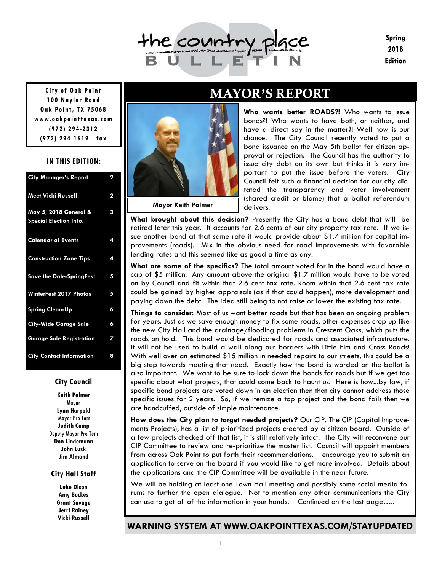

**Mayor Keith Palmer** 

**Spring** 2018 **Edition** 

**100 Naylor Road Oak Point, TX 75068 www.oakpointtexas.com (972) 294-2312 (972) 294-1619 - fax**

#### **IN THIS EDITION:**

| <b>City Manager's Report</b>                           | $\mathbf 2$ |
|--------------------------------------------------------|-------------|
| <b>Meet Vicki Russell</b>                              | $\mathbf 2$ |
| May 5, 2018 General &<br><b>Special Election Info.</b> | 3           |
| <b>Calendar of Events</b>                              | 4           |
| <b>Construction Zone Tips</b>                          | 4           |
| <b>Save the Date-SpringFest</b>                        | 5           |
| <b>WinterFest 2017 Photos</b>                          | 5           |
| <b>Spring Clean-Up</b>                                 | 6           |
| <b>City-Wide Garage Sale</b>                           | 6           |
| <b>Garage Sale Registration</b>                        | 7           |
| <b>City Contact Information</b>                        | 8           |

#### **City Council**

**Keith Palmer**  Mayor **Lynn Harpold**  Mayor Pro Tem **Judith Camp**  Deputy Mayor Pro Tem **Don Lindemann John Lusk Jim Almond** 

#### **City Hall Staff**

**Luke Olson Amy Bockes Grant Savage Jerri Rainey Vicki Russell** 

## MAYOR'S REPORT **City of Oak Point**

**Who wants better ROADS?!** Who wants to issue bonds?! Who wants to have both, or neither, and have a direct say in the matter?! Well now is our chance. The City Council recently voted to put a bond issuance on the May 5th ballot for citizen approval or rejection. The Council has the authority to issue city debt on its own but thinks it is very important to put the issue before the voters. City Council felt such a financial decision for our city dictated the transparency and voter involvement (shared credit or blame) that a ballot referendum delivers.

**What brought about this decision?** Presently the City has a bond debt that will be retired later this year. It accounts for 2.6 cents of our city property tax rate. If we issue another bond at that same rate it would provide about \$1.7 million for capital improvements (roads). Mix in the obvious need for road improvements with favorable lending rates and this seemed like as good a time as any.

**What are some of the specifics?** The total amount voted for in the bond would have a cap of \$5 million. Any amount above the original \$1.7 million would have to be voted on by Council and fit within that 2.6 cent tax rate. Room within that 2.6 cent tax rate could be gained by higher appraisals (as if that could happen), more development and paying down the debt. The idea still being to not raise or lower the existing tax rate.

**Things to consider:** Most of us want better roads but that has been an ongoing problem for years. Just as we save enough money to fix some roads, other expenses crop up like the new City Hall and the drainage/flooding problems in Crescent Oaks, which puts the roads on hold. This bond would be dedicated for roads and associated infrastructure. It will not be used to build a wall along our borders with Little Elm and Cross Roads! With well over an estimated \$15 million in needed repairs to our streets, this could be a big step towards meeting that need. Exactly how the bond is worded on the ballot is also important. We want to be sure to lock down the bonds for roads but if we get too specific about what projects, that could come back to haunt us. Here is how...by law, if specific bond projects are voted down in an election then that city cannot address those specific issues for 2 years. So, if we itemize a top project and the bond fails then we are handcuffed, outside of simple maintenance.

**How does the City plan to target needed projects?** Our CIP. The CIP (Capital Improvements Projects), has a list of prioritized projects created by a citizen board. Outside of a few projects checked off that list, it is still relatively intact. The City will reconvene our CIP Committee to review and re-prioritize the master list. Council will appoint members from across Oak Point to put forth their recommendations. I encourage you to submit an application to serve on the board if you would like to get more involved. Details about the applications and the CIP Committee will be available in the near future.

We will be holding at least one Town Hall meeting and possibly some social media forums to further the open dialogue. Not to mention any other communications the City can use to get all of the information in your hands. Continued on the last page…..

#### **WARNING SYSTEM AT WWW.OAKPOINTTEXAS.COM/STAYUPDATED**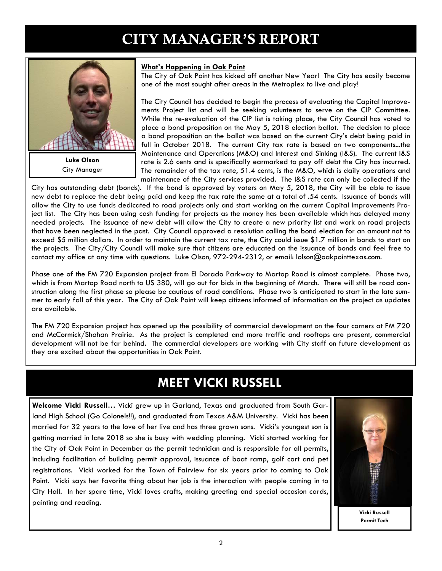## CITY MANAGER'S REPORT



**Luke Olson**  City Manager

#### **What's Happening in Oak Point**

The City of Oak Point has kicked off another New Year! The City has easily become one of the most sought after areas in the Metroplex to live and play!

The City Council has decided to begin the process of evaluating the Capital Improvements Project list and will be seeking volunteers to serve on the CIP Committee. While the re-evaluation of the CIP list is taking place, the City Council has voted to place a bond proposition on the May 5, 2018 election ballot. The decision to place a bond proposition on the ballot was based on the current City's debt being paid in full in October 2018. The current City tax rate is based on two components...the Maintenance and Operations (M&O) and Interest and Sinking (I&S). The current I&S rate is 2.6 cents and is specifically earmarked to pay off debt the City has incurred. The remainder of the tax rate, 51.4 cents, is the M&O, which is daily operations and maintenance of the City services provided. The I&S rate can only be collected if the

City has outstanding debt (bonds). If the bond is approved by voters on May 5, 2018, the City will be able to issue new debt to replace the debt being paid and keep the tax rate the same at a total of .54 cents. Issuance of bonds will allow the City to use funds dedicated to road projects only and start working on the current Capital Improvements Project list. The City has been using cash funding for projects as the money has been available which has delayed many needed projects. The issuance of new debt will allow the City to create a new priority list and work on road projects that have been neglected in the past. City Council approved a resolution calling the bond election for an amount not to exceed \$5 million dollars. In order to maintain the current tax rate, the City could issue \$1.7 million in bonds to start on the projects. The City/City Council will make sure that citizens are educated on the issuance of bonds and feel free to contact my office at any time with questions. Luke Olson, 972-294-2312, or email: lolson@oakpointtexas.com.

Phase one of the FM 720 Expansion project from El Dorado Parkway to Martop Road is almost complete. Phase two, which is from Martop Road north to US 380, will go out for bids in the beginning of March. There will still be road construction along the first phase so please be cautious of road conditions. Phase two is anticipated to start in the late summer to early fall of this year. The City of Oak Point will keep citizens informed of information on the project as updates are available.

The FM 720 Expansion project has opened up the possibility of commercial development on the four corners at FM 720 and McCormick/Shahan Prairie. As the project is completed and more traffic and rooftops are present, commercial development will not be far behind. The commercial developers are working with City staff on future development as they are excited about the opportunities in Oak Point.

## **MEET VICKI RUSSELL**

**Welcome Vicki Russell…** Vicki grew up in Garland, Texas and graduated from South Garland High School (Go Colonels!!), and graduated from Texas A&M University. Vicki has been married for 32 years to the love of her live and has three grown sons. Vicki's youngest son is getting married in late 2018 so she is busy with wedding planning. Vicki started working for the City of Oak Point in December as the permit technician and is responsible for all permits, including facilitation of building permit approval, issuance of boat ramp, golf cart and pet registrations. Vicki worked for the Town of Fairview for six years prior to coming to Oak Point. Vicki says her favorite thing about her job is the interaction with people coming in to City Hall. In her spare time, Vicki loves crafts, making greeting and special occasion cards, painting and reading.



**Vicki Russell Permit Tech**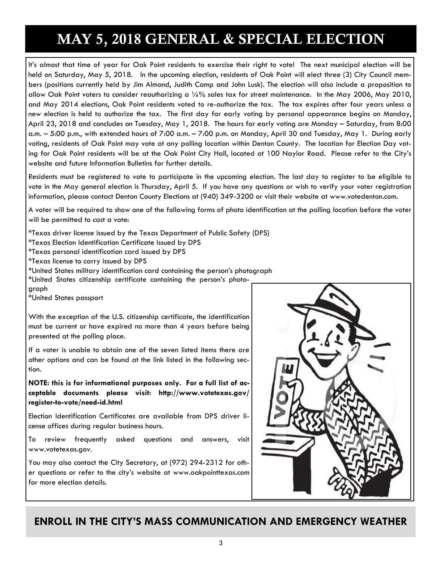# MAY 5, 2018 GENERAL & SPECIAL ELECTION

It's almost that time of year for Oak Point residents to exercise their right to vote! The next municipal election will be held on Saturday, May 5, 2018. In the upcoming election, residents of Oak Point will elect three (3) City Council members (positions currently held by Jim Almond, Judith Camp and John Lusk). The election will also include a proposition to allow Oak Point voters to consider reauthorizing a 1/4% sales tax for street maintenance. In the May 2006, May 2010, and May 2014 elections, Oak Point residents voted to re-authorize the tax. The tax expires after four years unless a new election is held to authorize the tax. The first day for early voting by personal appearance begins on Monday, April 23, 2018 and concludes on Tuesday, May 1, 2018. The hours for early voting are Monday – Saturday, from 8:00 a.m. – 5:00 p.m., with extended hours of 7:00 a.m. – 7:00 p.m. on Monday, April 30 and Tuesday, May 1. During early voting, residents of Oak Point may vote at any polling location within Denton County. The location for Election Day voting for Oak Point residents will be at the Oak Point City Hall, located at 100 Naylor Road. Please refer to the City's website and future Information Bulletins for further details.

Residents must be registered to vote to participate in the upcoming election. The last day to register to be eligible to vote in the May general election is Thursday, April 5. If you have any questions or wish to verify your voter registration information, please contact Denton County Elections at (940) 349-3200 or visit their website at www.votedenton.com.

A voter will be required to show one of the following forms of photo identification at the polling location before the voter will be permitted to cast a vote:

\*Texas driver license issued by the Texas Department of Public Safety (DPS)

\*Texas Election Identification Certificate issued by DPS

\*Texas personal identification card issued by DPS

\*Texas license to carry issued by DPS

\*United States military identification card containing the person's photograph

\*United States citizenship certificate containing the person's photo-

graph

\*United States passport

With the exception of the U.S. citizenship certificate, the identification must be current or have expired no more than 4 years before being presented at the polling place.

If a voter is unable to obtain one of the seven listed items there are other options and can be found at the link listed in the following section.

**NOTE: this is for informational purposes only. For a full list of acceptable documents please visit: http://www.votetexas.gov/ register-to-vote/need-id.html** 

Election Identification Certificates are available from DPS driver license offices during regular business hours.

To review frequently asked questions and answers, visit www.votetexas.gov.

You may also contact the City Secretary, at (972) 294-2312 for other questions or refer to the city's website at www.oakpointtexas.com for more election details.



### **ENROLL IN THE CITY'S MASS COMMUNICATION AND EMERGENCY WEATHER**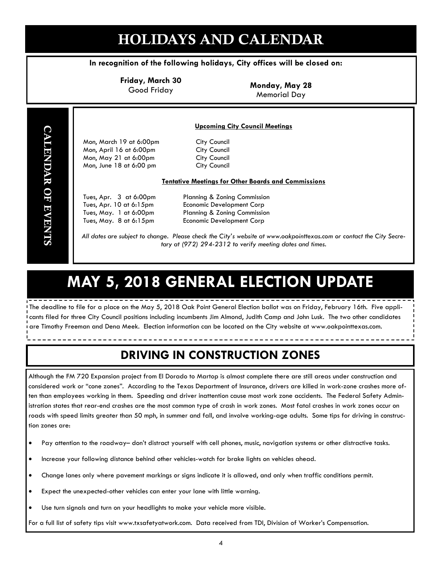# HOLIDAYS AND CALENDAR

#### **In recognition of the following holidays, City offices will be closed on:**

**Friday, March 30** 

Good Friday **Monday, May 28**  Memorial Day

#### **Upcoming City Council Meetings**

 Mon, March 19 at 6:00pm City Council Mon, April 16 at 6:00pm City Council Mon, May 21 at 6:00pm City Council Mon, June 18 at 6:00 pm City Council

#### **Tentative Meetings for Other Boards and Commissions**

 Tues, Apr. 3 at 6:00pm Planning & Zoning Commission Tues, Apr. 10 at 6:15pm Economic Development Corp Tues, May. 1 at 6:00pm Planning & Zoning Commission Tues, May. 8 at 6:15pm Economic Development Corp

*All dates are subject to change. Please check the City's website at www.oakpointtexas.com or contact the City Secretary at (972) 294-2312 to verify meeting dates and times.*

# **MAY 5, 2018 GENERAL ELECTION UPDATE**

The deadline to file for a place on the May 5, 2018 Oak Point General Election ballot was on Friday, February 16th. Five applicants filed for three City Council positions including incumbents Jim Almond, Judith Camp and John Lusk. The two other candidates are Timothy Freeman and Dena Meek. Election information can be located on the City website at www.oakpointtexas.com.

## **DRIVING IN CONSTRUCTION ZONES**

Although the FM 720 Expansion project from El Dorado to Martop is almost complete there are still areas under construction and considered work or "cone zones". According to the Texas Department of Insurance, drivers are killed in work-zone crashes more often than employees working in them. Speeding and driver inattention cause most work zone accidents. The Federal Safety Administration states that rear-end crashes are the most common type of crash in work zones. Most fatal crashes in work zones occur on roads with speed limits greater than 50 mph, in summer and fall, and involve working-age adults. Some tips for driving in construction zones are:

- Pay attention to the roadway– don't distract yourself with cell phones, music, navigation systems or other distractive tasks.
- Increase your following distance behind other vehicles-watch for brake lights on vehicles ahead.
- Change lanes only where pavement markings or signs indicate it is allowed, and only when traffic conditions permit.
- Expect the unexpected-other vehicles can enter your lane with little warning.
- Use turn signals and turn on your headlights to make your vehicle more visible.

For a full list of safety tips visit www.txsafetyatwork.com. Data received from TDI, Division of Worker's Compensation.

CALENDAR OF EVENTS

**CALENDAR OF EVENTS**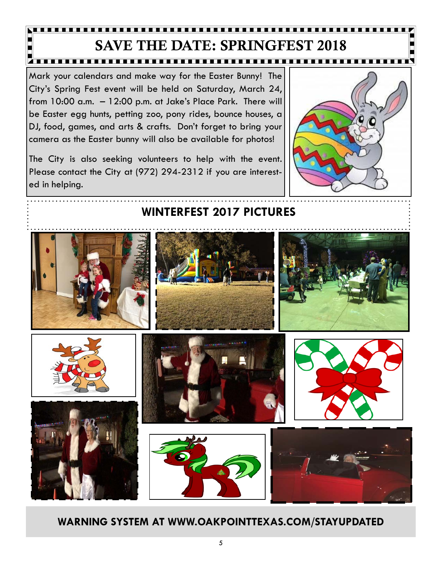## SAVE THE DATE: SPRINGFEST 2018 **TTTTTTTT**

Mark your calendars and make way for the Easter Bunny! The City's Spring Fest event will be held on Saturday, March 24, from 10:00 a.m. – 12:00 p.m. at Jake's Place Park. There will be Easter egg hunts, petting zoo, pony rides, bounce houses, a DJ, food, games, and arts & crafts. Don't forget to bring your camera as the Easter bunny will also be available for photos!

The City is also seeking volunteers to help with the event. Please contact the City at (972) 294-2312 if you are interested in helping.



# **WINTERFEST 2017 PICTURES**

**WARNING SYSTEM AT WWW.OAKPOINTTEXAS.COM/STAYUPDATED**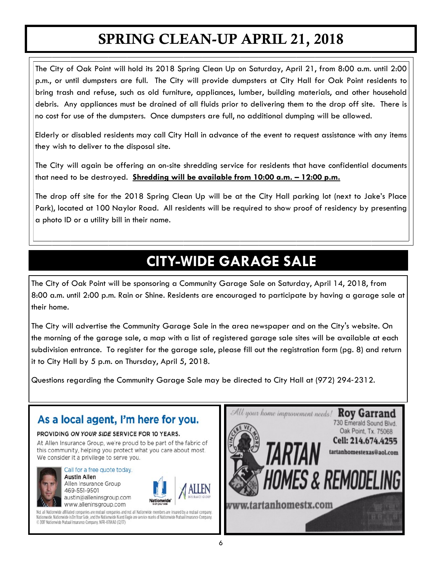# SPRING CLEAN-UP APRIL 21, 2018

The City of Oak Point will hold its 2018 Spring Clean Up on Saturday, April 21, from 8:00 a.m. until 2:00 p.m., or until dumpsters are full. The City will provide dumpsters at City Hall for Oak Point residents to bring trash and refuse, such as old furniture, appliances, lumber, building materials, and other household debris. Any appliances must be drained of all fluids prior to delivering them to the drop off site. There is no cost for use of the dumpsters. Once dumpsters are full, no additional dumping will be allowed.

Elderly or disabled residents may call City Hall in advance of the event to request assistance with any items they wish to deliver to the disposal site.

The City will again be offering an on-site shredding service for residents that have confidential documents that need to be destroyed. **Shredding will be available from 10:00 a.m. – 12:00 p.m.** 

The drop off site for the 2018 Spring Clean Up will be at the City Hall parking lot (next to Jake's Place Park), located at 100 Naylor Road. All residents will be required to show proof of residency by presenting a photo ID or a utility bill in their name.

# **CITY-WIDE GARAGE SALE**

The City of Oak Point will be sponsoring a Community Garage Sale on Saturday, April 14, 2018, from 8:00 a.m. until 2:00 p.m. Rain or Shine. Residents are encouraged to participate by having a garage sale at their home.

The City will advertise the Community Garage Sale in the area newspaper and on the City's website. On the morning of the garage sale, a map with a list of registered garage sale sites will be available at each subdivision entrance. To register for the garage sale, please fill out the registration form (pg. 8) and return it to City Hall by 5 p.m. on Thursday, April 5, 2018.

Questions regarding the Community Garage Sale may be directed to City Hall at (972) 294‐2312.

## As a local agent, I'm here for you.

#### PROVIDING ON YOUR SIDE SERVICE FOR 10 YEARS.

At Allen Insurance Group, we're proud to be part of the fabric of this community, helping you protect what you care about most. We consider it a privilege to serve you.



Call for a free quote today. **Austin Allen** Allen Insurance Group 469-551-9501 austin@alleninsgroup.com www.alleninsgroup.com



Not all Nationwide affiliated companies are mutual companies and not all Nationwide members are insured by a mutual company. Nationwide, Nationwide is On Your Side, and the Nationwide N and Eagle are service marks of Nationwide Mutual Insurance Company. © 2017 Nationwide Mutual Insurance Company. NPR-0784A0 (12/17)

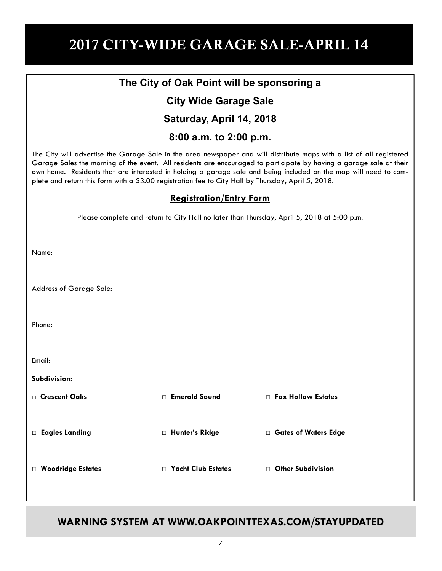# 2017 CITY-WIDE GARAGE SALE-APRIL 14

| The City of Oak Point will be sponsoring a                                                                                                                                                                                                                                                                                                                                                                                                                            |                      |                               |  |  |  |  |
|-----------------------------------------------------------------------------------------------------------------------------------------------------------------------------------------------------------------------------------------------------------------------------------------------------------------------------------------------------------------------------------------------------------------------------------------------------------------------|----------------------|-------------------------------|--|--|--|--|
| <b>City Wide Garage Sale</b>                                                                                                                                                                                                                                                                                                                                                                                                                                          |                      |                               |  |  |  |  |
| Saturday, April 14, 2018                                                                                                                                                                                                                                                                                                                                                                                                                                              |                      |                               |  |  |  |  |
| 8:00 a.m. to 2:00 p.m.                                                                                                                                                                                                                                                                                                                                                                                                                                                |                      |                               |  |  |  |  |
| The City will advertise the Garage Sale in the area newspaper and will distribute maps with a list of all registered<br>Garage Sales the morning of the event. All residents are encouraged to participate by having a garage sale at their<br>own home. Residents that are interested in holding a garage sale and being included on the map will need to com-<br>plete and return this form with a \$3.00 registration fee to City Hall by Thursday, April 5, 2018. |                      |                               |  |  |  |  |
| <b>Registration/Entry Form</b>                                                                                                                                                                                                                                                                                                                                                                                                                                        |                      |                               |  |  |  |  |
| Please complete and return to City Hall no later than Thursday, April 5, 2018 at 5:00 p.m.                                                                                                                                                                                                                                                                                                                                                                            |                      |                               |  |  |  |  |
|                                                                                                                                                                                                                                                                                                                                                                                                                                                                       |                      |                               |  |  |  |  |
| Name:                                                                                                                                                                                                                                                                                                                                                                                                                                                                 |                      |                               |  |  |  |  |
|                                                                                                                                                                                                                                                                                                                                                                                                                                                                       |                      |                               |  |  |  |  |
| Address of Garage Sale:                                                                                                                                                                                                                                                                                                                                                                                                                                               |                      |                               |  |  |  |  |
|                                                                                                                                                                                                                                                                                                                                                                                                                                                                       |                      |                               |  |  |  |  |
| Phone:                                                                                                                                                                                                                                                                                                                                                                                                                                                                |                      |                               |  |  |  |  |
|                                                                                                                                                                                                                                                                                                                                                                                                                                                                       |                      |                               |  |  |  |  |
| Email:                                                                                                                                                                                                                                                                                                                                                                                                                                                                |                      |                               |  |  |  |  |
| Subdivision:                                                                                                                                                                                                                                                                                                                                                                                                                                                          |                      |                               |  |  |  |  |
| □ <u>Crescent Oaks</u>                                                                                                                                                                                                                                                                                                                                                                                                                                                | <b>Emerald Sound</b> | □ Fox Hollow Estates          |  |  |  |  |
|                                                                                                                                                                                                                                                                                                                                                                                                                                                                       |                      |                               |  |  |  |  |
| <b>Eagles Landing</b>                                                                                                                                                                                                                                                                                                                                                                                                                                                 | □ Hunter's Ridge     | <b>D</b> Gates of Waters Edge |  |  |  |  |
|                                                                                                                                                                                                                                                                                                                                                                                                                                                                       |                      |                               |  |  |  |  |
| □ Woodridge Estates                                                                                                                                                                                                                                                                                                                                                                                                                                                   | □ Yacht Club Estates | <b>D</b> Other Subdivision    |  |  |  |  |
|                                                                                                                                                                                                                                                                                                                                                                                                                                                                       |                      |                               |  |  |  |  |

**WARNING SYSTEM AT WWW.OAKPOINTTEXAS.COM/STAYUPDATED**